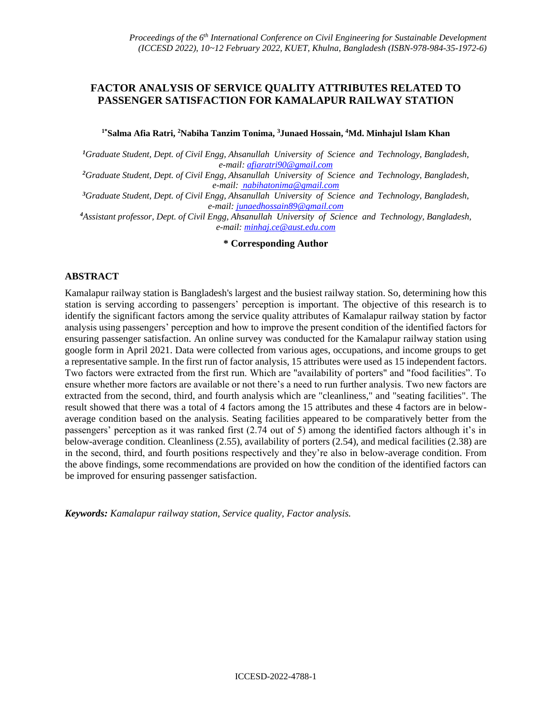# **FACTOR ANALYSIS OF SERVICE QUALITY ATTRIBUTES RELATED TO PASSENGER SATISFACTION FOR KAMALAPUR RAILWAY STATION**

#### **1\*Salma Afia Ratri, <sup>2</sup>Nabiha Tanzim Tonima, <sup>3</sup>Junaed Hossain, <sup>4</sup>Md. Minhajul Islam Khan**

*<sup>1</sup>Graduate Student, Dept. of Civil Engg, Ahsanullah. University. of. Science. and. Technology, Bangladesh, e-mail: [afiaratri90@gmail.com](mailto:afiaratri90@gmail.com)*

*<sup>2</sup>Graduate Student, Dept. of Civil Engg, Ahsanullah. University. of. Science. and. Technology, Bangladesh, e-mail: [nabihatonima@gmail.com](mailto:%20nabihatonima@gmail.com)*

*<sup>3</sup>Graduate Student, Dept. of Civil Engg, Ahsanullah. University. of. Science. and. Technology, Bangladesh, e-mail: [junaedhossain89@gmail.com](mailto:junaedhossain89@gmail.com)*

*<sup>4</sup>Assistant professor, Dept. of Civil Engg, Ahsanullah. University. of. Science. and. Technology, Bangladesh, e-mail: [minhaj.ce@aust.edu.com](mailto:minhaj.ce@aust.edu.com)*

### **\* Corresponding Author**

#### **ABSTRACT**

Kamalapur railway station is Bangladesh's largest and the busiest railway station. So, determining how this station is serving according to passengers' perception is important. The objective of this research is to identify the significant factors among the service quality attributes of Kamalapur railway station by factor analysis using passengers' perception and how to improve the present condition of the identified factors for ensuring passenger satisfaction. An online survey was conducted for the Kamalapur railway station using google form in April 2021. Data were collected from various ages, occupations, and income groups to get a representative sample. In the first run of factor analysis, 15 attributes were used as 15 independent factors. Two factors were extracted from the first run. Which are "availability of porters" and "food facilities". To ensure whether more factors are available or not there's a need to run further analysis. Two new factors are extracted from the second, third, and fourth analysis which are "cleanliness," and "seating facilities". The result showed that there was a total of 4 factors among the 15 attributes and these 4 factors are in belowaverage condition based on the analysis. Seating facilities appeared to be comparatively better from the passengers' perception as it was ranked first (2.74 out of 5) among the identified factors although it's in below-average condition. Cleanliness (2.55), availability of porters (2.54), and medical facilities (2.38) are in the second, third, and fourth positions respectively and they're also in below-average condition. From the above findings, some recommendations are provided on how the condition of the identified factors can be improved for ensuring passenger satisfaction.

*Keywords: Kamalapur railway station, Service quality, Factor analysis.*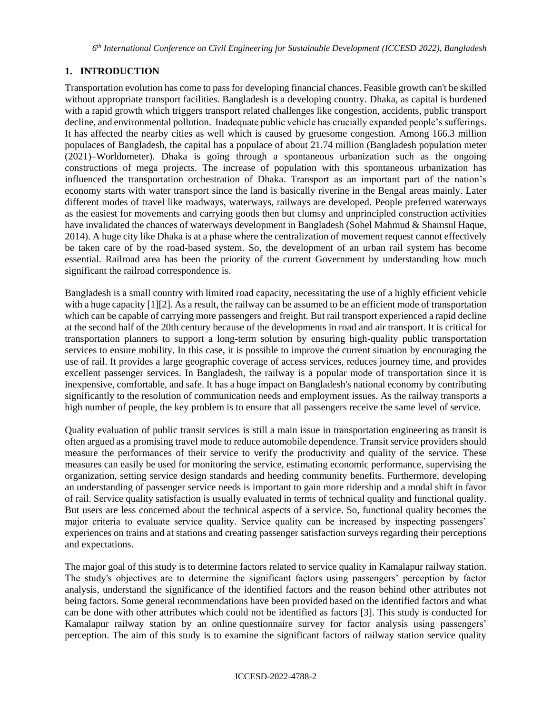## **1. INTRODUCTION**

Transportation evolution has come to pass for developing financial chances. Feasible growth can't be skilled without appropriate transport facilities. Bangladesh is a developing country. Dhaka, as capital is burdened with a rapid growth which triggers transport related challenges like congestion, accidents, public transport decline, and environmental pollution. Inadequate public vehicle has crucially expanded people's sufferings. It has affected the nearby cities as well which is caused by gruesome congestion. Among 166.3 million populaces of Bangladesh, the capital has a populace of about 21.74 million (Bangladesh population meter (2021)–Worldometer). Dhaka is going through a spontaneous urbanization such as the ongoing constructions of mega projects. The increase of population with this spontaneous urbanization has influenced the transportation orchestration of Dhaka. Transport as an important part of the nation's economy starts with water transport since the land is basically riverine in the Bengal areas mainly. Later different modes of travel like roadways, waterways, railways are developed. People preferred waterways as the easiest for movements and carrying goods then but clumsy and unprincipled construction activities have invalidated the chances of waterways development in Bangladesh (Sohel Mahmud & Shamsul Haque, 2014). A huge city like Dhaka is at a phase where the centralization of movement request cannot effectively be taken care of by the road-based system. So, the development of an urban rail system has become essential. Railroad area has been the priority of the current Government by understanding how much significant the railroad correspondence is.

Bangladesh is a small country with limited road capacity, necessitating the use of a highly efficient vehicle with a huge capacity [1][2]. As a result, the railway can be assumed to be an efficient mode of transportation which can be capable of carrying more passengers and freight. But rail transport experienced a rapid decline at the second half of the 20th century because of the developments in road and air transport. It is critical for transportation planners to support a long-term solution by ensuring high-quality public transportation services to ensure mobility. In this case, it is possible to improve the current situation by encouraging the use of rail. It provides a large geographic coverage of access services, reduces journey time, and provides excellent passenger services. In Bangladesh, the railway is a popular mode of transportation since it is inexpensive, comfortable, and safe. It has a huge impact on Bangladesh's national economy by contributing significantly to the resolution of communication needs and employment issues. As the railway transports a high number of people, the key problem is to ensure that all passengers receive the same level of service.

Quality evaluation of public transit services is still a main issue in transportation engineering as transit is often argued as a promising travel mode to reduce automobile dependence. Transit service providers should measure the performances of their service to verify the productivity and quality of the service. These measures can easily be used for monitoring the service, estimating economic performance, supervising the organization, setting service design standards and heeding community benefits. Furthermore, developing an understanding of passenger service needs is important to gain more ridership and a modal shift in favor of rail. Service quality satisfaction is usually evaluated in terms of technical quality and functional quality. But users are less concerned about the technical aspects of a service. So, functional quality becomes the major criteria to evaluate service quality. Service quality can be increased by inspecting passengers' experiences on trains and at stations and creating passenger satisfaction surveys regarding their perceptions and expectations.

The major goal of this study is to determine factors related to service quality in Kamalapur railway station. The study's objectives are to determine the significant factors using passengers' perception by factor analysis, understand the significance of the identified factors and the reason behind other attributes not being factors. Some general recommendations have been provided based on the identified factors and what can be done with other attributes which could not be identified as factors [3]. This study is conducted for Kamalapur railway station by an online questionnaire survey for factor analysis using passengers' perception. The aim of this study is to examine the significant factors of railway station service quality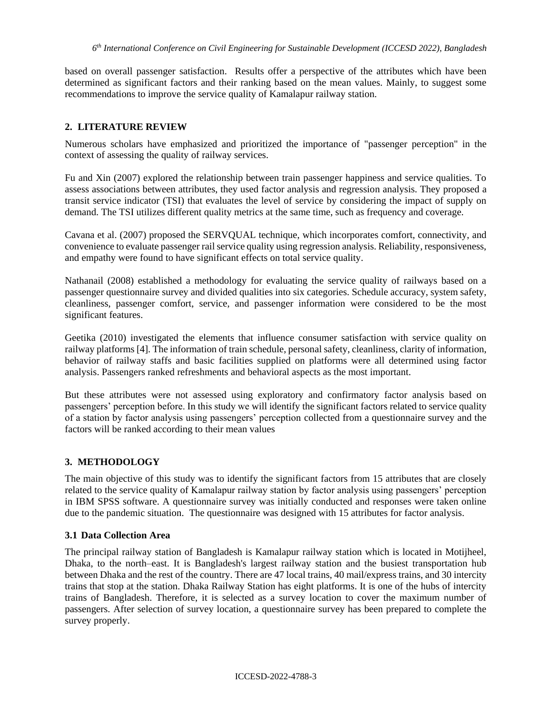based on overall passenger satisfaction. Results offer a perspective of the attributes which have been determined as significant factors and their ranking based on the mean values. Mainly, to suggest some recommendations to improve the service quality of Kamalapur railway station.

## **2. LITERATURE REVIEW**

Numerous scholars have emphasized and prioritized the importance of "passenger perception" in the context of assessing the quality of railway services.

Fu and Xin (2007) explored the relationship between train passenger happiness and service qualities. To assess associations between attributes, they used factor analysis and regression analysis. They proposed a transit service indicator (TSI) that evaluates the level of service by considering the impact of supply on demand. The TSI utilizes different quality metrics at the same time, such as frequency and coverage.

Cavana et al. (2007) proposed the SERVQUAL technique, which incorporates comfort, connectivity, and convenience to evaluate passenger rail service quality using regression analysis. Reliability, responsiveness, and empathy were found to have significant effects on total service quality.

Nathanail (2008) established a methodology for evaluating the service quality of railways based on a passenger questionnaire survey and divided qualities into six categories. Schedule accuracy, system safety, cleanliness, passenger comfort, service, and passenger information were considered to be the most significant features.

Geetika (2010) investigated the elements that influence consumer satisfaction with service quality on railway platforms [4]. The information of train schedule, personal safety, cleanliness, clarity of information, behavior of railway staffs and basic facilities supplied on platforms were all determined using factor analysis. Passengers ranked refreshments and behavioral aspects as the most important.

But these attributes were not assessed using exploratory and confirmatory factor analysis based on passengers' perception before. In this study we will identify the significant factors related to service quality of a station by factor analysis using passengers' perception collected from a questionnaire survey and the factors will be ranked according to their mean values

## **3. METHODOLOGY**

The main objective of this study was to identify the significant factors from 15 attributes that are closely related to the service quality of Kamalapur railway station by factor analysis using passengers' perception in IBM SPSS software. A questionnaire survey was initially conducted and responses were taken online due to the pandemic situation. The questionnaire was designed with 15 attributes for factor analysis.

## **3.1 Data Collection Area**

The principal railway station of Bangladesh is Kamalapur railway station which is located in Motijheel, Dhaka, to the north–east. It is Bangladesh's largest railway station and the busiest transportation hub between Dhaka and the rest of the country. There are 47 local trains, 40 mail/express trains, and 30 intercity trains that stop at the station. Dhaka Railway Station has eight platforms. It is one of the hubs of intercity trains of Bangladesh. Therefore, it is selected as a survey location to cover the maximum number of passengers. After selection of survey location, a questionnaire survey has been prepared to complete the survey properly.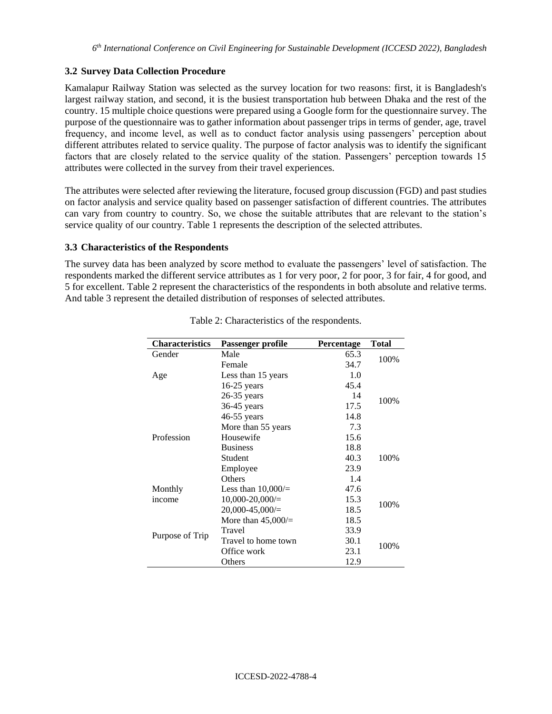### **3.2 Survey Data Collection Procedure**

Kamalapur Railway Station was selected as the survey location for two reasons: first, it is Bangladesh's largest railway station, and second, it is the busiest transportation hub between Dhaka and the rest of the country. 15 multiple choice questions were prepared using a Google form for the questionnaire survey. The purpose of the questionnaire was to gather information about passenger trips in terms of gender, age, travel frequency, and income level, as well as to conduct factor analysis using passengers' perception about different attributes related to service quality. The purpose of factor analysis was to identify the significant factors that are closely related to the service quality of the station. Passengers' perception towards 15 attributes were collected in the survey from their travel experiences.

The attributes were selected after reviewing the literature, focused group discussion (FGD) and past studies on factor analysis and service quality based on passenger satisfaction of different countries. The attributes can vary from country to country. So, we chose the suitable attributes that are relevant to the station's service quality of our country. Table 1 represents the description of the selected attributes.

#### **3.3 Characteristics of the Respondents**

The survey data has been analyzed by score method to evaluate the passengers' level of satisfaction. The respondents marked the different service attributes as 1 for very poor, 2 for poor, 3 for fair, 4 for good, and 5 for excellent. Table 2 represent the characteristics of the respondents in both absolute and relative terms. And table 3 represent the detailed distribution of responses of selected attributes.

| <b>Characteristics</b> | Passenger profile   | Percentage | <b>Total</b> |
|------------------------|---------------------|------------|--------------|
| Gender                 | Male                | 65.3       | 100%         |
|                        | Female              | 34.7       |              |
| Age                    | Less than 15 years  | 1.0        |              |
|                        | $16-25$ years       | 45.4       |              |
|                        | $26-35$ years       | 14         | 100%         |
|                        | $36-45$ years       | 17.5       |              |
|                        | $46-55$ years       | 14.8       |              |
|                        | More than 55 years  | 7.3        |              |
| Profession             | Housewife           | 15.6       |              |
|                        | <b>Business</b>     | 18.8       |              |
|                        | Student             | 40.3       | 100%         |
|                        | Employee            | 23.9       |              |
|                        | <b>Others</b>       | 1.4        |              |
| Monthly                | Less than $10,000/$ | 47.6       |              |
| income                 | $10,000 - 20,000/$  | 15.3       | 100%         |
|                        | $20,000-45,000/$    | 18.5       |              |
|                        | More than $45,000/$ | 18.5       |              |
|                        | Travel              | 33.9       |              |
| Purpose of Trip        | Travel to home town | 30.1       | 100%         |
|                        | Office work         | 23.1       |              |
|                        | Others              | 12.9       |              |

Table 2: Characteristics of the respondents.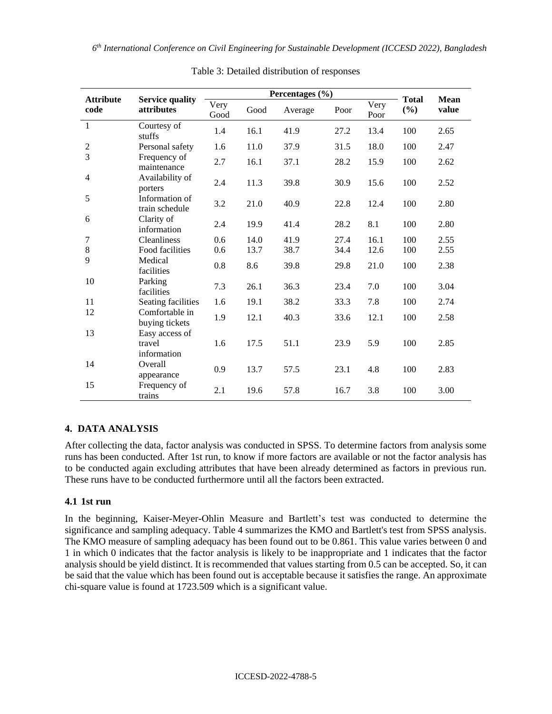*6 th International Conference on Civil Engineering for Sustainable Development (ICCESD 2022), Bangladesh*

|                          |                                         | Percentages (%) |      |         |      |              | <b>Total</b> |               |
|--------------------------|-----------------------------------------|-----------------|------|---------|------|--------------|--------------|---------------|
| <b>Attribute</b><br>code | <b>Service quality</b><br>attributes    | Very<br>Good    | Good | Average | Poor | Very<br>Poor | (%)          | Mean<br>value |
| 1                        | Courtesy of<br>stuffs                   | 1.4             | 16.1 | 41.9    | 27.2 | 13.4         | 100          | 2.65          |
| 2                        | Personal safety                         | 1.6             | 11.0 | 37.9    | 31.5 | 18.0         | 100          | 2.47          |
| 3                        | Frequency of<br>maintenance             | 2.7             | 16.1 | 37.1    | 28.2 | 15.9         | 100          | 2.62          |
| 4                        | Availability of<br>porters              | 2.4             | 11.3 | 39.8    | 30.9 | 15.6         | 100          | 2.52          |
| 5                        | Information of<br>train schedule        | 3.2             | 21.0 | 40.9    | 22.8 | 12.4         | 100          | 2.80          |
| 6                        | Clarity of<br>information               | 2.4             | 19.9 | 41.4    | 28.2 | 8.1          | 100          | 2.80          |
| 7                        | Cleanliness                             | 0.6             | 14.0 | 41.9    | 27.4 | 16.1         | 100          | 2.55          |
| $8\,$                    | Food facilities                         | 0.6             | 13.7 | 38.7    | 34.4 | 12.6         | 100          | 2.55          |
| 9                        | Medical<br>facilities                   | 0.8             | 8.6  | 39.8    | 29.8 | 21.0         | 100          | 2.38          |
| 10                       | Parking<br>facilities                   | 7.3             | 26.1 | 36.3    | 23.4 | 7.0          | 100          | 3.04          |
| 11                       | Seating facilities                      | 1.6             | 19.1 | 38.2    | 33.3 | 7.8          | 100          | 2.74          |
| 12                       | Comfortable in<br>buying tickets        | 1.9             | 12.1 | 40.3    | 33.6 | 12.1         | 100          | 2.58          |
| 13                       | Easy access of<br>travel<br>information | 1.6             | 17.5 | 51.1    | 23.9 | 5.9          | 100          | 2.85          |
| 14                       | Overall<br>appearance                   | 0.9             | 13.7 | 57.5    | 23.1 | 4.8          | 100          | 2.83          |
| 15                       | Frequency of<br>trains                  | 2.1             | 19.6 | 57.8    | 16.7 | 3.8          | 100          | 3.00          |

| Table 3: Detailed distribution of responses |  |  |  |
|---------------------------------------------|--|--|--|
|---------------------------------------------|--|--|--|

# **4. DATA ANALYSIS**

After collecting the data, factor analysis was conducted in SPSS. To determine factors from analysis some runs has been conducted. After 1st run, to know if more factors are available or not the factor analysis has to be conducted again excluding attributes that have been already determined as factors in previous run. These runs have to be conducted furthermore until all the factors been extracted.

## **4.1 1st run**

In the beginning, Kaiser-Meyer-Ohlin Measure and Bartlett's test was conducted to determine the significance and sampling adequacy. Table 4 summarizes the KMO and Bartlett's test from SPSS analysis. The KMO measure of sampling adequacy has been found out to be 0.861. This value varies between 0 and 1 in which 0 indicates that the factor analysis is likely to be inappropriate and 1 indicates that the factor analysis should be yield distinct. It is recommended that values starting from 0.5 can be accepted. So, it can be said that the value which has been found out is acceptable because it satisfies the range. An approximate chi-square value is found at 1723.509 which is a significant value.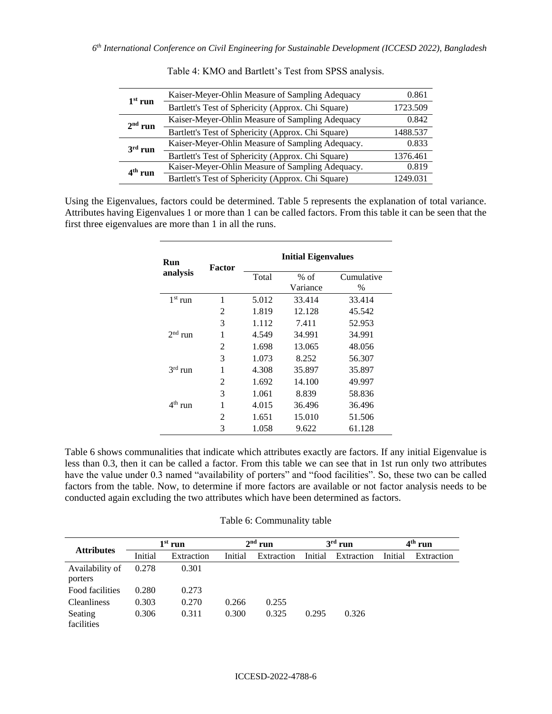| $1st$ run | Kaiser-Meyer-Ohlin Measure of Sampling Adequacy    | 0.861    |
|-----------|----------------------------------------------------|----------|
|           | Bartlett's Test of Sphericity (Approx. Chi Square) | 1723.509 |
| $2nd$ run | Kaiser-Meyer-Ohlin Measure of Sampling Adequacy    | 0.842    |
|           | Bartlett's Test of Sphericity (Approx. Chi Square) | 1488.537 |
| $3rd$ run | Kaiser-Meyer-Ohlin Measure of Sampling Adequacy.   | 0.833    |
|           | Bartlett's Test of Sphericity (Approx. Chi Square) | 1376.461 |
| $4th$ run | Kaiser-Meyer-Ohlin Measure of Sampling Adequacy.   | 0.819    |
|           | Bartlett's Test of Sphericity (Approx. Chi Square) | 1249.031 |

Table 4: KMO and Bartlett's Test from SPSS analysis.

Using the Eigenvalues, factors could be determined. Table 5 represents the explanation of total variance. Attributes having Eigenvalues 1 or more than 1 can be called factors. From this table it can be seen that the first three eigenvalues are more than 1 in all the runs.

| Run       | Factor         | <b>Initial Eigenvalues</b> |          |            |  |  |  |
|-----------|----------------|----------------------------|----------|------------|--|--|--|
| analysis  |                | Total                      | $%$ of   | Cumulative |  |  |  |
|           |                |                            | Variance | $\%$       |  |  |  |
| $1st$ run | 1              | 5.012                      | 33.414   | 33.414     |  |  |  |
|           | 2              | 1.819                      | 12.128   | 45.542     |  |  |  |
|           | 3              | 1.112                      | 7.411    | 52.953     |  |  |  |
| $2nd$ run | 1              | 4.549                      | 34.991   | 34.991     |  |  |  |
|           | $\overline{c}$ | 1.698                      | 13.065   | 48.056     |  |  |  |
|           | 3              | 1.073                      | 8.252    | 56.307     |  |  |  |
| $3rd$ run | 1              | 4.308                      | 35.897   | 35.897     |  |  |  |
|           | 2              | 1.692                      | 14.100   | 49.997     |  |  |  |
|           | 3              | 1.061                      | 8.839    | 58.836     |  |  |  |
| $4th$ run | 1              | 4.015                      | 36.496   | 36.496     |  |  |  |
|           | 2              | 1.651                      | 15.010   | 51.506     |  |  |  |
|           | 3              | 1.058                      | 9.622    | 61.128     |  |  |  |

Table 6 shows communalities that indicate which attributes exactly are factors. If any initial Eigenvalue is less than 0.3, then it can be called a factor. From this table we can see that in 1st run only two attributes have the value under 0.3 named "availability of porters" and "food facilities". So, these two can be called factors from the table. Now, to determine if more factors are available or not factor analysis needs to be conducted again excluding the two attributes which have been determined as factors.

#### Table 6: Communality table

| <b>Attributes</b>          | $1st$ run |            | $2nd$ run |            | $3rd$ run |            | $4th$ run |            |
|----------------------------|-----------|------------|-----------|------------|-----------|------------|-----------|------------|
|                            | Initial   | Extraction | Initial   | Extraction | Initial   | Extraction | Initial   | Extraction |
| Availability of<br>porters | 0.278     | 0.301      |           |            |           |            |           |            |
| Food facilities            | 0.280     | 0.273      |           |            |           |            |           |            |
| <b>Cleanliness</b>         | 0.303     | 0.270      | 0.266     | 0.255      |           |            |           |            |
| Seating<br>facilities      | 0.306     | 0.311      | 0.300     | 0.325      | 0.295     | 0.326      |           |            |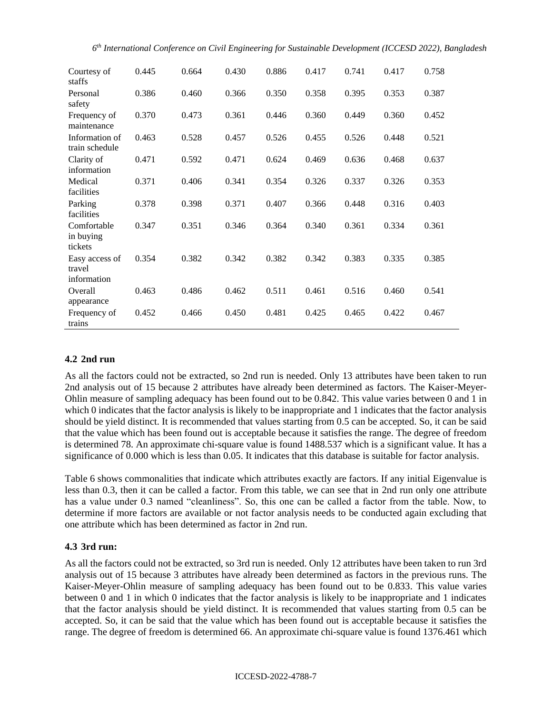| Courtesy of<br>staffs                   | 0.445 | 0.664 | 0.430 | 0.886 | 0.417 | 0.741 | 0.417 | 0.758 |
|-----------------------------------------|-------|-------|-------|-------|-------|-------|-------|-------|
| Personal<br>safety                      | 0.386 | 0.460 | 0.366 | 0.350 | 0.358 | 0.395 | 0.353 | 0.387 |
| Frequency of<br>maintenance             | 0.370 | 0.473 | 0.361 | 0.446 | 0.360 | 0.449 | 0.360 | 0.452 |
| Information of<br>train schedule        | 0.463 | 0.528 | 0.457 | 0.526 | 0.455 | 0.526 | 0.448 | 0.521 |
| Clarity of<br>information               | 0.471 | 0.592 | 0.471 | 0.624 | 0.469 | 0.636 | 0.468 | 0.637 |
| Medical<br>facilities                   | 0.371 | 0.406 | 0.341 | 0.354 | 0.326 | 0.337 | 0.326 | 0.353 |
| Parking<br>facilities                   | 0.378 | 0.398 | 0.371 | 0.407 | 0.366 | 0.448 | 0.316 | 0.403 |
| Comfortable<br>in buying<br>tickets     | 0.347 | 0.351 | 0.346 | 0.364 | 0.340 | 0.361 | 0.334 | 0.361 |
| Easy access of<br>travel<br>information | 0.354 | 0.382 | 0.342 | 0.382 | 0.342 | 0.383 | 0.335 | 0.385 |
| Overall<br>appearance                   | 0.463 | 0.486 | 0.462 | 0.511 | 0.461 | 0.516 | 0.460 | 0.541 |
| Frequency of<br>trains                  | 0.452 | 0.466 | 0.450 | 0.481 | 0.425 | 0.465 | 0.422 | 0.467 |

## **4.2 2nd run**

As all the factors could not be extracted, so 2nd run is needed. Only 13 attributes have been taken to run 2nd analysis out of 15 because 2 attributes have already been determined as factors. The Kaiser-Meyer-Ohlin measure of sampling adequacy has been found out to be 0.842. This value varies between 0 and 1 in which 0 indicates that the factor analysis is likely to be inappropriate and 1 indicates that the factor analysis should be yield distinct. It is recommended that values starting from 0.5 can be accepted. So, it can be said that the value which has been found out is acceptable because it satisfies the range. The degree of freedom is determined 78. An approximate chi-square value is found 1488.537 which is a significant value. It has a significance of 0.000 which is less than 0.05. It indicates that this database is suitable for factor analysis.

Table 6 shows commonalities that indicate which attributes exactly are factors. If any initial Eigenvalue is less than 0.3, then it can be called a factor. From this table, we can see that in 2nd run only one attribute has a value under 0.3 named "cleanliness". So, this one can be called a factor from the table. Now, to determine if more factors are available or not factor analysis needs to be conducted again excluding that one attribute which has been determined as factor in 2nd run.

## **4.3 3rd run:**

As all the factors could not be extracted, so 3rd run is needed. Only 12 attributes have been taken to run 3rd analysis out of 15 because 3 attributes have already been determined as factors in the previous runs. The Kaiser-Meyer-Ohlin measure of sampling adequacy has been found out to be 0.833. This value varies between 0 and 1 in which 0 indicates that the factor analysis is likely to be inappropriate and 1 indicates that the factor analysis should be yield distinct. It is recommended that values starting from 0.5 can be accepted. So, it can be said that the value which has been found out is acceptable because it satisfies the range. The degree of freedom is determined 66. An approximate chi-square value is found 1376.461 which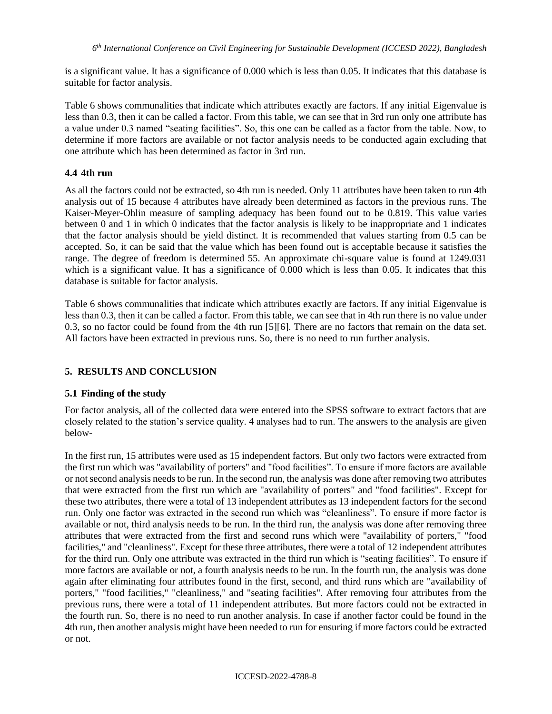is a significant value. It has a significance of 0.000 which is less than 0.05. It indicates that this database is suitable for factor analysis.

Table 6 shows communalities that indicate which attributes exactly are factors. If any initial Eigenvalue is less than 0.3, then it can be called a factor. From this table, we can see that in 3rd run only one attribute has a value under 0.3 named "seating facilities". So, this one can be called as a factor from the table. Now, to determine if more factors are available or not factor analysis needs to be conducted again excluding that one attribute which has been determined as factor in 3rd run.

## **4.4 4th run**

As all the factors could not be extracted, so 4th run is needed. Only 11 attributes have been taken to run 4th analysis out of 15 because 4 attributes have already been determined as factors in the previous runs. The Kaiser-Meyer-Ohlin measure of sampling adequacy has been found out to be 0.819. This value varies between 0 and 1 in which 0 indicates that the factor analysis is likely to be inappropriate and 1 indicates that the factor analysis should be yield distinct. It is recommended that values starting from 0.5 can be accepted. So, it can be said that the value which has been found out is acceptable because it satisfies the range. The degree of freedom is determined 55. An approximate chi-square value is found at 1249.031 which is a significant value. It has a significance of 0.000 which is less than 0.05. It indicates that this database is suitable for factor analysis.

Table 6 shows communalities that indicate which attributes exactly are factors. If any initial Eigenvalue is less than 0.3, then it can be called a factor. From this table, we can see that in 4th run there is no value under 0.3, so no factor could be found from the 4th run [5][6]. There are no factors that remain on the data set. All factors have been extracted in previous runs. So, there is no need to run further analysis.

# **5. RESULTS AND CONCLUSION**

## **5.1 Finding of the study**

For factor analysis, all of the collected data were entered into the SPSS software to extract factors that are closely related to the station's service quality. 4 analyses had to run. The answers to the analysis are given below-

In the first run, 15 attributes were used as 15 independent factors. But only two factors were extracted from the first run which was "availability of porters" and "food facilities". To ensure if more factors are available or not second analysis needs to be run. In the second run, the analysis was done after removing two attributes that were extracted from the first run which are "availability of porters" and "food facilities". Except for these two attributes, there were a total of 13 independent attributes as 13 independent factors for the second run. Only one factor was extracted in the second run which was "cleanliness". To ensure if more factor is available or not, third analysis needs to be run. In the third run, the analysis was done after removing three attributes that were extracted from the first and second runs which were "availability of porters," "food facilities," and "cleanliness". Except for these three attributes, there were a total of 12 independent attributes for the third run. Only one attribute was extracted in the third run which is "seating facilities". To ensure if more factors are available or not, a fourth analysis needs to be run. In the fourth run, the analysis was done again after eliminating four attributes found in the first, second, and third runs which are "availability of porters," "food facilities," "cleanliness," and "seating facilities". After removing four attributes from the previous runs, there were a total of 11 independent attributes. But more factors could not be extracted in the fourth run. So, there is no need to run another analysis. In case if another factor could be found in the 4th run, then another analysis might have been needed to run for ensuring if more factors could be extracted or not.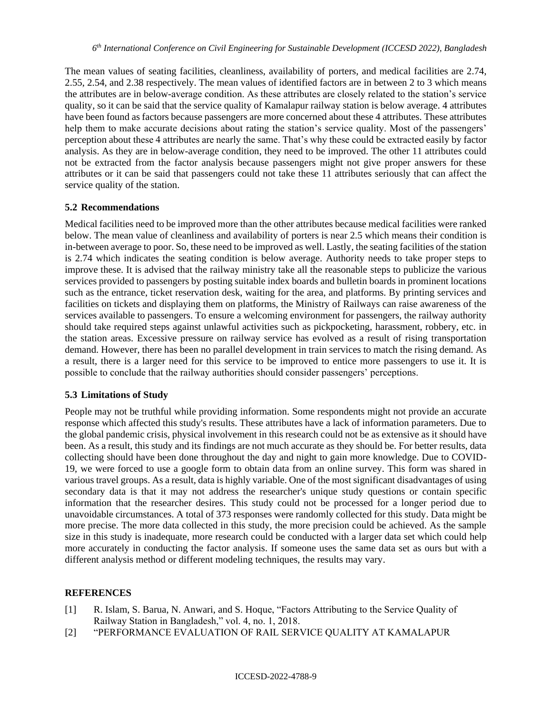The mean values of seating facilities, cleanliness, availability of porters, and medical facilities are 2.74, 2.55, 2.54, and 2.38 respectively. The mean values of identified factors are in between 2 to 3 which means the attributes are in below-average condition. As these attributes are closely related to the station's service quality, so it can be said that the service quality of Kamalapur railway station is below average. 4 attributes have been found as factors because passengers are more concerned about these 4 attributes. These attributes help them to make accurate decisions about rating the station's service quality. Most of the passengers' perception about these 4 attributes are nearly the same. That's why these could be extracted easily by factor analysis. As they are in below-average condition, they need to be improved. The other 11 attributes could not be extracted from the factor analysis because passengers might not give proper answers for these attributes or it can be said that passengers could not take these 11 attributes seriously that can affect the service quality of the station.

### **5.2 Recommendations**

Medical facilities need to be improved more than the other attributes because medical facilities were ranked below. The mean value of cleanliness and availability of porters is near 2.5 which means their condition is in-between average to poor. So, these need to be improved as well. Lastly, the seating facilities of the station is 2.74 which indicates the seating condition is below average. Authority needs to take proper steps to improve these. It is advised that the railway ministry take all the reasonable steps to publicize the various services provided to passengers by posting suitable index boards and bulletin boards in prominent locations such as the entrance, ticket reservation desk, waiting for the area, and platforms. By printing services and facilities on tickets and displaying them on platforms, the Ministry of Railways can raise awareness of the services available to passengers. To ensure a welcoming environment for passengers, the railway authority should take required steps against unlawful activities such as pickpocketing, harassment, robbery, etc. in the station areas. Excessive pressure on railway service has evolved as a result of rising transportation demand. However, there has been no parallel development in train services to match the rising demand. As a result, there is a larger need for this service to be improved to entice more passengers to use it. It is possible to conclude that the railway authorities should consider passengers' perceptions.

## **5.3 Limitations of Study**

People may not be truthful while providing information. Some respondents might not provide an accurate response which affected this study's results. These attributes have a lack of information parameters. Due to the global pandemic crisis, physical involvement in this research could not be as extensive as it should have been. As a result, this study and its findings are not much accurate as they should be. For better results, data collecting should have been done throughout the day and night to gain more knowledge. Due to COVID-19, we were forced to use a google form to obtain data from an online survey. This form was shared in various travel groups. As a result, data is highly variable. One of the most significant disadvantages of using secondary data is that it may not address the researcher's unique study questions or contain specific information that the researcher desires. This study could not be processed for a longer period due to unavoidable circumstances. A total of 373 responses were randomly collected for this study. Data might be more precise. The more data collected in this study, the more precision could be achieved. As the sample size in this study is inadequate, more research could be conducted with a larger data set which could help more accurately in conducting the factor analysis. If someone uses the same data set as ours but with a different analysis method or different modeling techniques, the results may vary.

#### **REFERENCES**

- [1] R. Islam, S. Barua, N. Anwari, and S. Hoque, "Factors Attributing to the Service Quality of Railway Station in Bangladesh," vol. 4, no. 1, 2018.
- [2] "PERFORMANCE EVALUATION OF RAIL SERVICE QUALITY AT KAMALAPUR